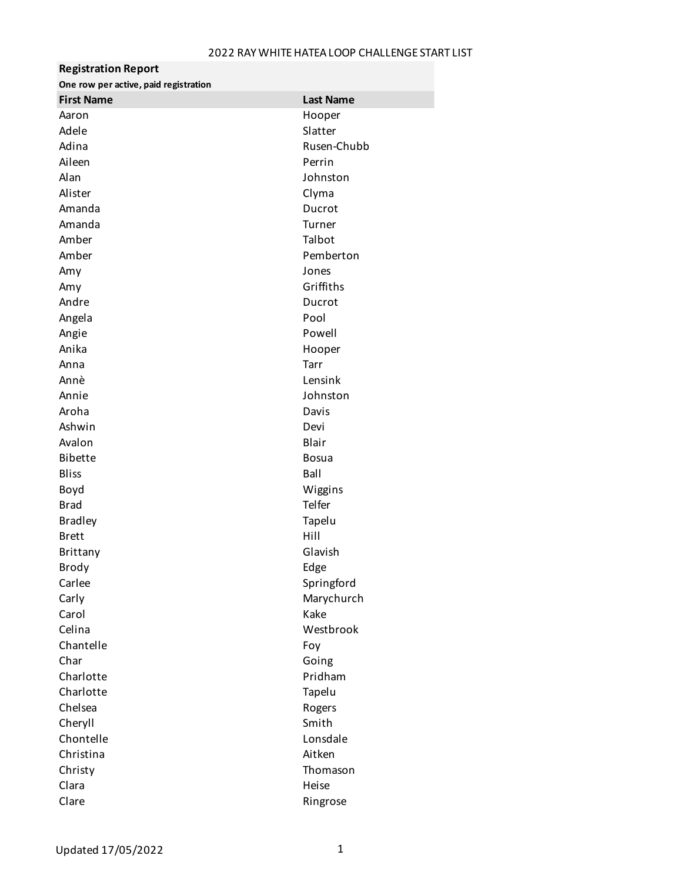| <b>Registration Report</b>            |                  |
|---------------------------------------|------------------|
| One row per active, paid registration |                  |
| <b>First Name</b>                     | <b>Last Name</b> |
| Aaron                                 | Hooper           |
| Adele                                 | Slatter          |
| Adina                                 | Rusen-Chubb      |
| Aileen                                | Perrin           |
| Alan                                  | Johnston         |
| Alister                               | Clyma            |
| Amanda                                | Ducrot           |
| Amanda                                | Turner           |
| Amber                                 | Talbot           |
| Amber                                 | Pemberton        |
| Amy                                   | Jones            |
| Amy                                   | Griffiths        |
| Andre                                 | Ducrot           |
| Angela                                | Pool             |
| Angie                                 | Powell           |
| Anika                                 | Hooper           |
| Anna                                  | Tarr             |
| Annè                                  | Lensink          |
| Annie                                 | Johnston         |
| Aroha                                 | Davis            |
| Ashwin                                | Devi             |
| Avalon                                | Blair            |
| <b>Bibette</b>                        | <b>Bosua</b>     |
| <b>Bliss</b>                          | Ball             |
| Boyd                                  | Wiggins          |
| <b>Brad</b>                           | Telfer           |
| <b>Bradley</b>                        | Tapelu           |
| <b>Brett</b>                          | Hill             |
| Brittany                              | Glavish          |
| Brody                                 | Edge             |
| Carlee                                | Springford       |
| Carly                                 | Marychurch       |
| Carol                                 | Kake             |
| Celina                                | Westbrook        |
| Chantelle                             | Foy              |
| Char                                  | Going            |
| Charlotte                             | Pridham          |
| Charlotte                             | Tapelu           |
| Chelsea                               | Rogers           |
| Cheryll                               | Smith            |
| Chontelle                             | Lonsdale         |
| Christina                             | Aitken           |
| Christy                               | Thomason         |
| Clara                                 | Heise            |
| Clare                                 | Ringrose         |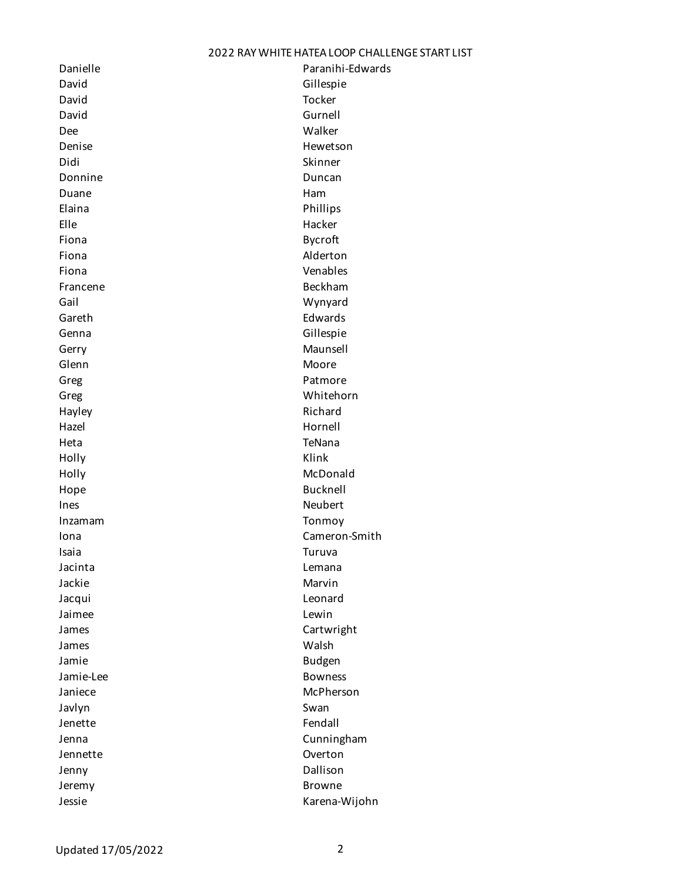David Gillespie David Tocker David Gurnell Dee Walker Denise Hewetson Didi Skinner Donnine Duncan Duncan Duncan Duane **Ham** Elaina **Phillips** Elle Hacker Fiona **Bycroft** Fiona **Alderton** Fiona Venables Francene Beckham Gail Wynyard Gareth **Edwards** Genna Gillespie Gerry **Maunsell** Glenn **Moore** Greg **Patmore** Greg Whitehorn Hayley **Richard** Hazel Hornell Heta TeNana Holly Klink Holly McDonald Hope **Bucknell** Ines Neubert Inzamam Tonmoy Isaia Turuva Jacinta Lemana Jackie Marvin Marvin Jacqui Leonard Jaimee Lewin James **Cartwright** James Walsh Jamie **Budgen** Jamie-Lee Bowness Janiece McPherson Javlyn Swan Jenette Fendall Jennette Overton Jenny Dallison Jeremy Browne

Danielle **Paranihi-Edwards** Iona Cameron-Smith Jenna Cunningham Jessie Karena-Wijohn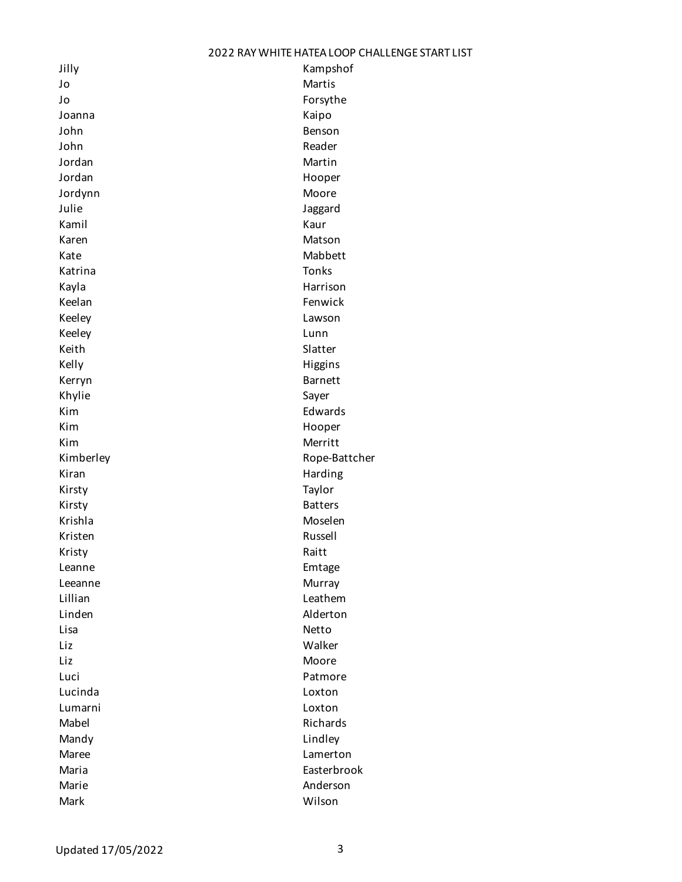| Jilly     | Kampshof       |
|-----------|----------------|
| Jo        | Martis         |
| Jo        | Forsythe       |
| Joanna    | Kaipo          |
| John      | Benson         |
| John      | Reader         |
| Jordan    | Martin         |
| Jordan    | Hooper         |
| Jordynn   | Moore          |
| Julie     | Jaggard        |
| Kamil     | Kaur           |
| Karen     | Matson         |
| Kate      | Mabbett        |
| Katrina   | <b>Tonks</b>   |
| Kayla     | Harrison       |
| Keelan    | Fenwick        |
| Keeley    | Lawson         |
| Keeley    | Lunn           |
| Keith     | Slatter        |
| Kelly     | Higgins        |
| Kerryn    | <b>Barnett</b> |
| Khylie    | Sayer          |
| Kim       | Edwards        |
| Kim       | Hooper         |
| Kim       | Merritt        |
| Kimberley | Rope-Battcher  |
| Kiran     | Harding        |
| Kirsty    | Taylor         |
| Kirsty    | <b>Batters</b> |
| Krishla   | Moselen        |
| Kristen   | Russell        |
| Kristy    | Raitt          |
| Leanne    | Emtage         |
| Leeanne   | Murray         |
| Lillian   | Leathem        |
| Linden    | Alderton       |
| Lisa      | Netto          |
| Liz       | Walker         |
| Liz       | Moore          |
| Luci      |                |
|           | Patmore        |
| Lucinda   | Loxton         |
| Lumarni   | Loxton         |
| Mabel     | Richards       |
| Mandy     | Lindley        |
| Maree     | Lamerton       |
| Maria     | Easterbrook    |
| Marie     | Anderson       |
| Mark      | Wilson         |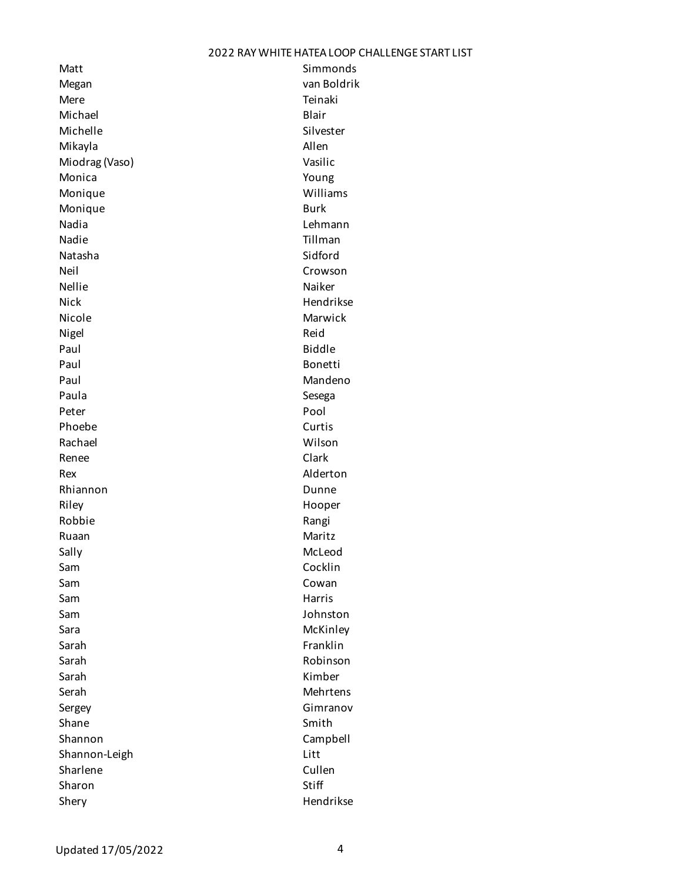Matt Simmonds Megan van Boldrik Mere Teinaki Michael **Blair** Michelle Silvester Mikayla **Allen** Miodrag (Vaso) **Vasilic** Monica **Young** Monique Williams Monique **Burk** Nadia Lehmann Nadie **Nadie** Tillman Natasha Sidford Neil **Neil** Crowson Nellie Nellie Naiker Nick **Nick** Hendrikse Nicole **Marwick** Marwick Nigel **Nigel** Reid Paul Biddle Paul Bonetti Paul **Mandeno** Paula **Sesega** Peter Pool Phoebe Curtis Rachael Wilson Renee Clark Rex Alderton Rhiannon **Dunne** Riley **Hooper** Robbie **Robbie** Rangi Ruaan Maritz Sally McLeod Sam **Cocklin** Sam **Cowan** Sam **Harris** Sam Andrew Marris and the Marris Sam Andrew Marris Sam Andrew Marris Sam Andrew Marris Sam Andrew M Sam Johnston Sara **McKinley** Sarah **Franklin** Sarah Robinson Sarah Kimber Serah Mehrtens Sergey **Gimranov** Shane Shane Shane Smith Shannon Campbell Shannon-Leigh Litt Sharlene Cullen Sharon Stiff Shery Hendrikse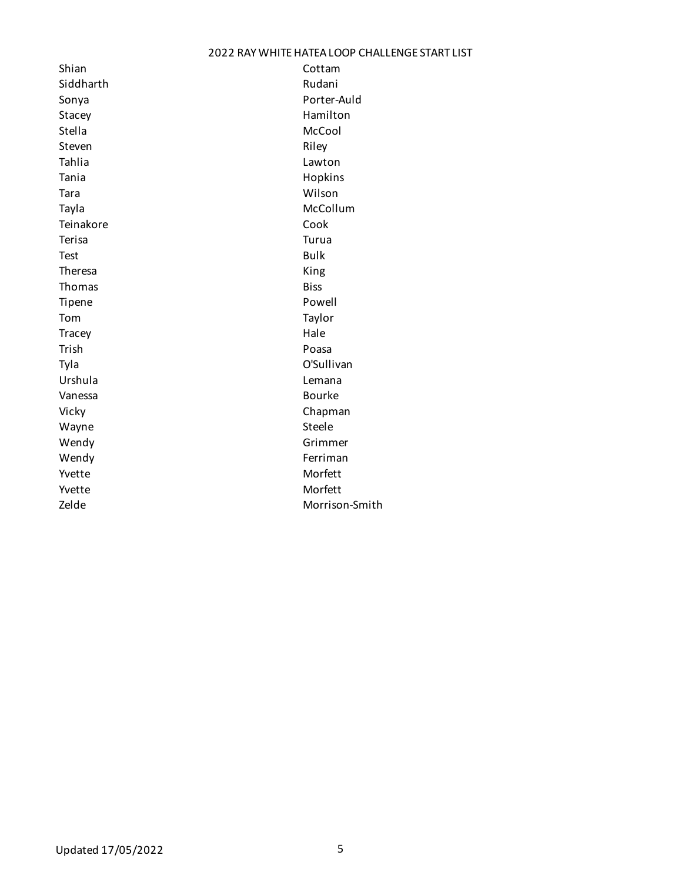| Shian       | Cottam         |
|-------------|----------------|
| Siddharth   | Rudani         |
| Sonya       | Porter-Auld    |
| Stacey      | Hamilton       |
| Stella      | McCool         |
| Steven      | Riley          |
| Tahlia      | Lawton         |
| Tania       | Hopkins        |
| Tara        | Wilson         |
| Tayla       | McCollum       |
| Teinakore   | Cook           |
| Terisa      | Turua          |
| <b>Test</b> | <b>Bulk</b>    |
| Theresa     | King           |
| Thomas      | <b>Biss</b>    |
| Tipene      | Powell         |
| Tom         | Taylor         |
| Tracey      | Hale           |
| Trish       | Poasa          |
| Tyla        | O'Sullivan     |
| Urshula     | Lemana         |
| Vanessa     | <b>Bourke</b>  |
| Vicky       | Chapman        |
| Wayne       | Steele         |
| Wendy       | Grimmer        |
| Wendy       | Ferriman       |
| Yvette      | Morfett        |
| Yvette      | Morfett        |
| Zelde       | Morrison-Smith |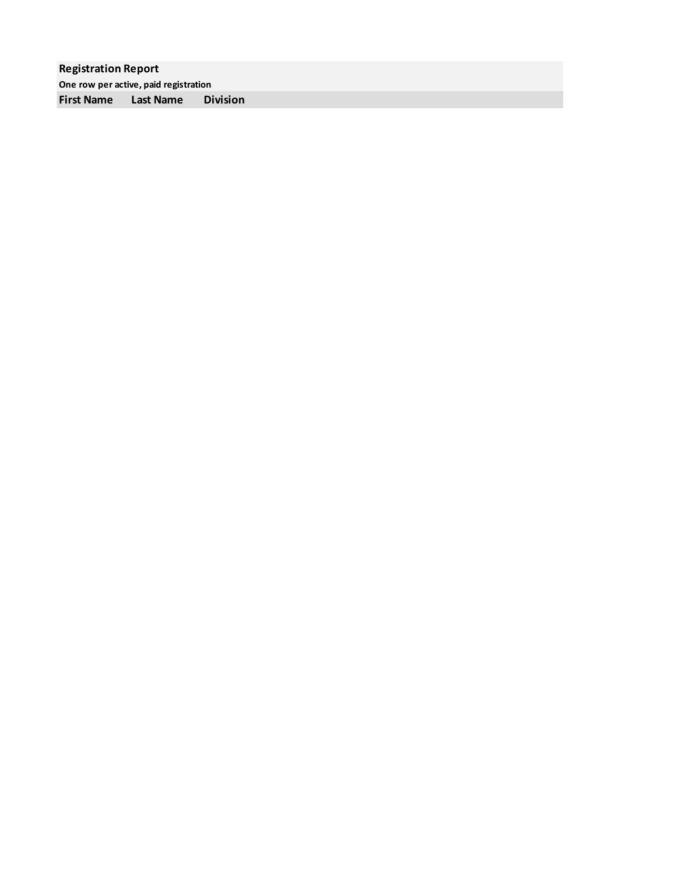**Registration Report One row per active, paid registration First Name Last Name Division**